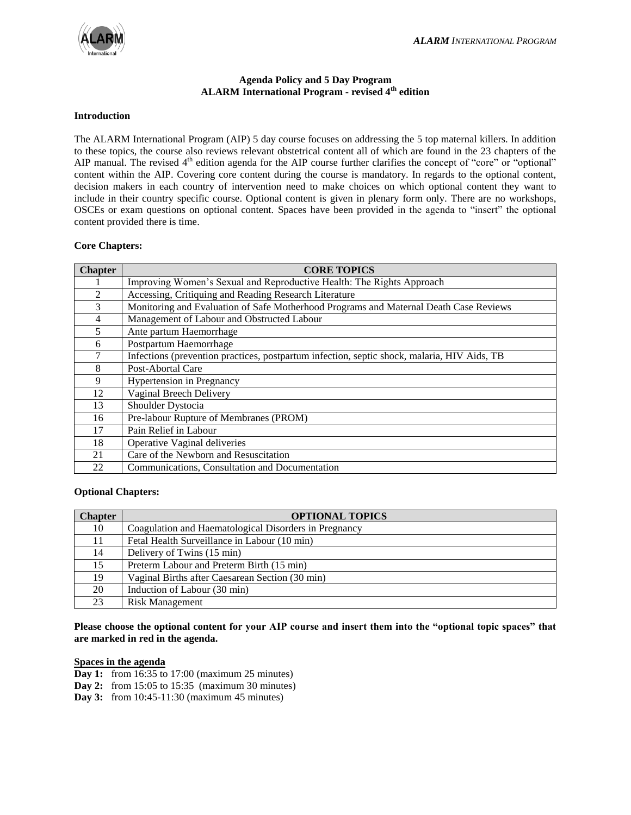# **Agenda Policy and 5 Day Program ALARM International Program - revised 4th edition**

#### **Introduction**

The ALARM International Program (AIP) 5 day course focuses on addressing the 5 top maternal killers. In addition to these topics, the course also reviews relevant obstetrical content all of which are found in the 23 chapters of the AIP manual. The revised  $4<sup>th</sup>$  edition agenda for the AIP course further clarifies the concept of "core" or "optional" content within the AIP. Covering core content during the course is mandatory. In regards to the optional content, decision makers in each country of intervention need to make choices on which optional content they want to include in their country specific course. Optional content is given in plenary form only. There are no workshops, OSCEs or exam questions on optional content. Spaces have been provided in the agenda to "insert" the optional content provided there is time.

### **Core Chapters:**

| <b>Chapter</b> | <b>CORE TOPICS</b>                                                                          |
|----------------|---------------------------------------------------------------------------------------------|
|                | Improving Women's Sexual and Reproductive Health: The Rights Approach                       |
| $\mathfrak{D}$ | Accessing, Critiquing and Reading Research Literature                                       |
| 3              | Monitoring and Evaluation of Safe Motherhood Programs and Maternal Death Case Reviews       |
| 4              | Management of Labour and Obstructed Labour                                                  |
| 5              | Ante partum Haemorrhage                                                                     |
| 6              | Postpartum Haemorrhage                                                                      |
| 7              | Infections (prevention practices, postpartum infection, septic shock, malaria, HIV Aids, TB |
| 8              | Post-Abortal Care                                                                           |
| 9              | <b>Hypertension in Pregnancy</b>                                                            |
| 12             | Vaginal Breech Delivery                                                                     |
| 13             | Shoulder Dystocia                                                                           |
| 16             | Pre-labour Rupture of Membranes (PROM)                                                      |
| 17             | Pain Relief in Labour                                                                       |
| 18             | Operative Vaginal deliveries                                                                |
| 21             | Care of the Newborn and Resuscitation                                                       |
| 22             | Communications, Consultation and Documentation                                              |

### **Optional Chapters:**

| <b>Chapter</b> | <b>OPTIONAL TOPICS</b>                                |
|----------------|-------------------------------------------------------|
| 10             | Coagulation and Haematological Disorders in Pregnancy |
| 11             | Fetal Health Surveillance in Labour (10 min)          |
| 14             | Delivery of Twins (15 min)                            |
| 15             | Preterm Labour and Preterm Birth (15 min)             |
| 19             | Vaginal Births after Caesarean Section (30 min)       |
| 20             | Induction of Labour (30 min)                          |
| 23             | <b>Risk Management</b>                                |

# **Please choose the optional content for your AIP course and insert them into the "optional topic spaces" that are marked in red in the agenda.**

### **Spaces in the agenda**

- **Day 1:** from 16:35 to 17:00 (maximum 25 minutes)
- **Day 2:** from 15:05 to 15:35 (maximum 30 minutes)
- **Day 3:** from 10:45-11:30 (maximum 45 minutes)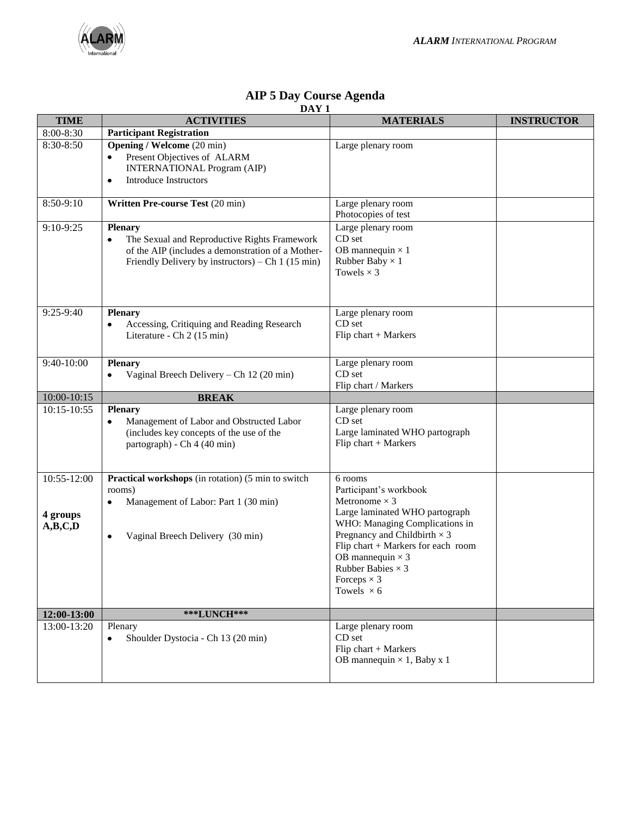

|  |       | <b>AIP 5 Day Course Agenda</b> |
|--|-------|--------------------------------|
|  | DAV 1 |                                |

| <b>TIME</b>                        | DAI 1<br><b>ACTIVITIES</b>                                                                                                                                               | <b>MATERIALS</b>                                                                                                                                                                                                                                                                                             | <b>INSTRUCTOR</b> |
|------------------------------------|--------------------------------------------------------------------------------------------------------------------------------------------------------------------------|--------------------------------------------------------------------------------------------------------------------------------------------------------------------------------------------------------------------------------------------------------------------------------------------------------------|-------------------|
| 8:00-8:30                          | <b>Participant Registration</b>                                                                                                                                          |                                                                                                                                                                                                                                                                                                              |                   |
| 8:30-8:50                          | <b>Opening / Welcome (20 min)</b><br>Present Objectives of ALARM<br>$\bullet$<br><b>INTERNATIONAL Program (AIP)</b><br><b>Introduce Instructors</b><br>$\bullet$         | Large plenary room                                                                                                                                                                                                                                                                                           |                   |
| 8:50-9:10                          | Written Pre-course Test (20 min)                                                                                                                                         | Large plenary room<br>Photocopies of test                                                                                                                                                                                                                                                                    |                   |
| 9:10-9:25                          | <b>Plenary</b><br>The Sexual and Reproductive Rights Framework<br>of the AIP (includes a demonstration of a Mother-<br>Friendly Delivery by instructors) – Ch 1 (15 min) | Large plenary room<br>CD set<br>OB mannequin $\times$ 1<br>Rubber Baby $\times$ 1<br>Towels $\times$ 3                                                                                                                                                                                                       |                   |
| $9:25-9:40$                        | <b>Plenary</b><br>Accessing, Critiquing and Reading Research<br>Literature - Ch 2 (15 min)                                                                               | Large plenary room<br>CD set<br>Flip chart $+$ Markers                                                                                                                                                                                                                                                       |                   |
| 9:40-10:00                         | <b>Plenary</b><br>Vaginal Breech Delivery - Ch 12 (20 min)                                                                                                               | Large plenary room<br>CD set<br>Flip chart / Markers                                                                                                                                                                                                                                                         |                   |
| 10:00-10:15                        | <b>BREAK</b>                                                                                                                                                             |                                                                                                                                                                                                                                                                                                              |                   |
| $10:15 - 10:55$                    | <b>Plenary</b><br>Management of Labor and Obstructed Labor<br>$\bullet$<br>(includes key concepts of the use of the<br>partograph) - Ch 4 (40 min)                       | Large plenary room<br>CD set<br>Large laminated WHO partograph<br>Flip chart $+$ Markers                                                                                                                                                                                                                     |                   |
| 10:55-12:00<br>4 groups<br>A,B,C,D | Practical workshops (in rotation) (5 min to switch<br>rooms)<br>Management of Labor: Part 1 (30 min)<br>٠<br>Vaginal Breech Delivery (30 min)<br>$\bullet$               | 6 rooms<br>Participant's workbook<br>Metronome $\times$ 3<br>Large laminated WHO partograph<br>WHO: Managing Complications in<br>Pregnancy and Childbirth $\times$ 3<br>Flip chart + Markers for each room<br>OB mannequin $\times$ 3<br>Rubber Babies $\times$ 3<br>Forceps $\times$ 3<br>Towels $\times$ 6 |                   |
| 12:00-13:00                        | <b>***LUNCH***</b>                                                                                                                                                       |                                                                                                                                                                                                                                                                                                              |                   |
| 13:00-13:20                        | Plenary<br>Shoulder Dystocia - Ch 13 (20 min)<br>$\bullet$                                                                                                               | Large plenary room<br>CD set<br>Flip chart + Markers<br>OB mannequin $\times$ 1, Baby x 1                                                                                                                                                                                                                    |                   |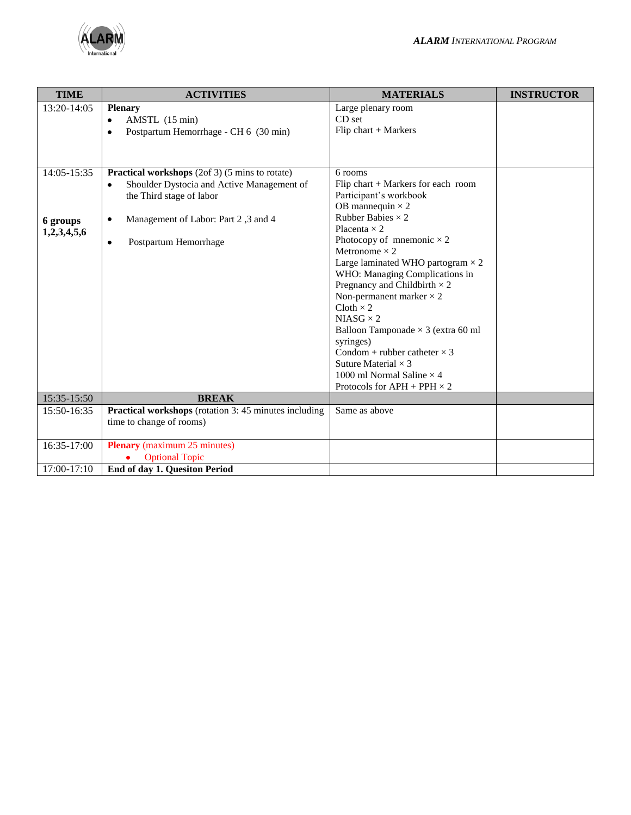

| <b>TIME</b>                            | <b>ACTIVITIES</b>                                                                                                                                                                   | <b>MATERIALS</b>                                                                                                                                                                                                                                                                                                                                                                                                                                                  | <b>INSTRUCTOR</b> |
|----------------------------------------|-------------------------------------------------------------------------------------------------------------------------------------------------------------------------------------|-------------------------------------------------------------------------------------------------------------------------------------------------------------------------------------------------------------------------------------------------------------------------------------------------------------------------------------------------------------------------------------------------------------------------------------------------------------------|-------------------|
| $13:20-14:05$                          | <b>Plenary</b><br>AMSTL (15 min)<br>$\bullet$<br>Postpartum Hemorrhage - CH 6 (30 min)<br>$\bullet$                                                                                 | Large plenary room<br>CD <sub>set</sub><br>Flip chart $+$ Markers                                                                                                                                                                                                                                                                                                                                                                                                 |                   |
| 14:05-15:35<br>6 groups<br>1,2,3,4,5,6 | <b>Practical workshops</b> (2of 3) (5 mins to rotate)<br>Shoulder Dystocia and Active Management of<br>the Third stage of labor<br>Management of Labor: Part 2,3 and 4<br>$\bullet$ | 6 rooms<br>Flip chart $+$ Markers for each room<br>Participant's workbook<br>OB mannequin $\times$ 2<br>Rubber Babies $\times$ 2<br>Placenta $\times$ 2                                                                                                                                                                                                                                                                                                           |                   |
|                                        | Postpartum Hemorrhage<br>$\bullet$                                                                                                                                                  | Photocopy of mnemonic $\times$ 2<br>Metronome $\times$ 2<br>Large laminated WHO partogram $\times$ 2<br>WHO: Managing Complications in<br>Pregnancy and Childbirth $\times$ 2<br>Non-permanent marker $\times$ 2<br>$Cloth \times 2$<br>$NIASG \times 2$<br>Balloon Tamponade $\times$ 3 (extra 60 ml<br>syringes)<br>Condom + rubber catheter $\times$ 3<br>Suture Material $\times$ 3<br>1000 ml Normal Saline $\times$ 4<br>Protocols for $APH + PPH \times 2$ |                   |
| 15:35-15:50                            | <b>BREAK</b>                                                                                                                                                                        |                                                                                                                                                                                                                                                                                                                                                                                                                                                                   |                   |
| 15:50-16:35                            | <b>Practical workshops</b> (rotation 3: 45 minutes including<br>time to change of rooms)                                                                                            | Same as above                                                                                                                                                                                                                                                                                                                                                                                                                                                     |                   |
| 16:35-17:00                            | <b>Plenary</b> (maximum 25 minutes)<br><b>Optional Topic</b>                                                                                                                        |                                                                                                                                                                                                                                                                                                                                                                                                                                                                   |                   |
| 17:00-17:10                            | End of day 1. Quesiton Period                                                                                                                                                       |                                                                                                                                                                                                                                                                                                                                                                                                                                                                   |                   |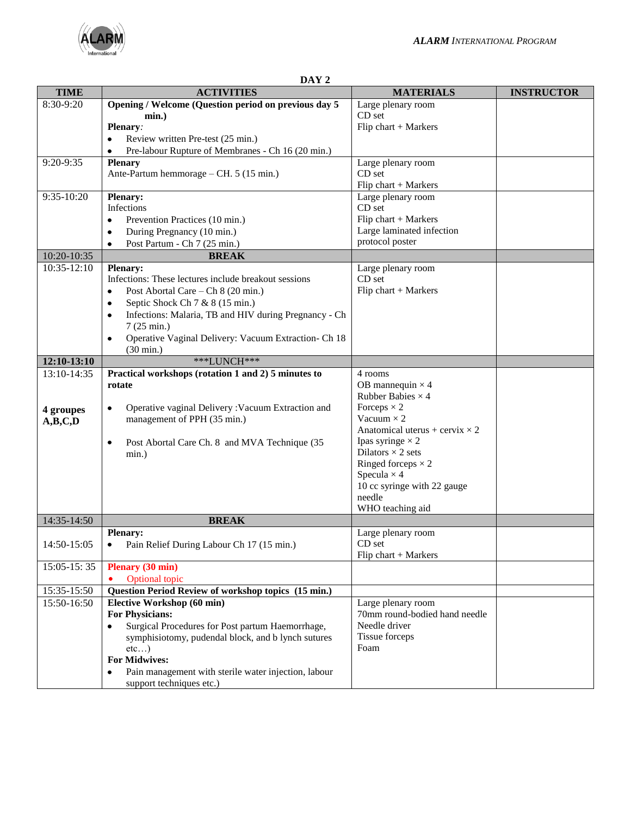

|             | DAY <sub>2</sub>                                                                           |                                              |                   |  |  |  |
|-------------|--------------------------------------------------------------------------------------------|----------------------------------------------|-------------------|--|--|--|
| <b>TIME</b> | <b>ACTIVITIES</b>                                                                          | <b>MATERIALS</b>                             | <b>INSTRUCTOR</b> |  |  |  |
| 8:30-9:20   | Opening / Welcome (Question period on previous day 5                                       | Large plenary room                           |                   |  |  |  |
|             | $min.$ )                                                                                   | CD set                                       |                   |  |  |  |
|             | Plenary:                                                                                   | Flip chart $+$ Markers                       |                   |  |  |  |
|             | Review written Pre-test (25 min.)                                                          |                                              |                   |  |  |  |
|             | Pre-labour Rupture of Membranes - Ch 16 (20 min.)                                          |                                              |                   |  |  |  |
| 9:20-9:35   | <b>Plenary</b>                                                                             | Large plenary room                           |                   |  |  |  |
|             | Ante-Partum hemmorage – CH. 5 (15 min.)                                                    | CD set                                       |                   |  |  |  |
|             |                                                                                            | Flip chart + Markers                         |                   |  |  |  |
| 9:35-10:20  | <b>Plenary:</b>                                                                            | Large plenary room                           |                   |  |  |  |
|             | Infections                                                                                 | CD set                                       |                   |  |  |  |
|             | Prevention Practices (10 min.)<br>$\bullet$                                                | Flip chart + Markers                         |                   |  |  |  |
|             | During Pregnancy (10 min.)<br>٠                                                            | Large laminated infection<br>protocol poster |                   |  |  |  |
|             | Post Partum - Ch 7 (25 min.)<br>$\bullet$                                                  |                                              |                   |  |  |  |
| 10:20-10:35 | <b>BREAK</b>                                                                               |                                              |                   |  |  |  |
| 10:35-12:10 | <b>Plenary:</b>                                                                            | Large plenary room                           |                   |  |  |  |
|             | Infections: These lectures include breakout sessions                                       | CD set                                       |                   |  |  |  |
|             | Post Abortal Care – Ch 8 (20 min.)<br>$\bullet$                                            | Flip chart $+$ Markers                       |                   |  |  |  |
|             | Septic Shock Ch 7 & 8 (15 min.)<br>$\bullet$                                               |                                              |                   |  |  |  |
|             | Infections: Malaria, TB and HIV during Pregnancy - Ch<br>$\bullet$<br>$7(25 \text{ min.})$ |                                              |                   |  |  |  |
|             |                                                                                            |                                              |                   |  |  |  |
|             | Operative Vaginal Delivery: Vacuum Extraction- Ch 18<br>$\bullet$<br>$(30 \text{ min.})$   |                                              |                   |  |  |  |
| 12:10-13:10 | ***LUNCH***                                                                                |                                              |                   |  |  |  |
| 13:10-14:35 | Practical workshops (rotation 1 and 2) 5 minutes to                                        | 4 rooms                                      |                   |  |  |  |
|             | rotate                                                                                     | OB mannequin $\times$ 4                      |                   |  |  |  |
|             |                                                                                            | Rubber Babies $\times$ 4                     |                   |  |  |  |
| 4 groupes   | Operative vaginal Delivery: Vacuum Extraction and<br>$\bullet$                             | Forceps $\times$ 2                           |                   |  |  |  |
| A,B,C,D     | management of PPH (35 min.)                                                                | Vacuum $\times$ 2                            |                   |  |  |  |
|             |                                                                                            | Anatomical uterus + cervix $\times$ 2        |                   |  |  |  |
|             | Post Abortal Care Ch. 8 and MVA Technique (35<br>$\bullet$                                 | Ipas syringe $\times$ 2                      |                   |  |  |  |
|             | min.)                                                                                      | Dilators $\times$ 2 sets                     |                   |  |  |  |
|             |                                                                                            | Ringed forceps $\times$ 2                    |                   |  |  |  |
|             |                                                                                            | Specula $\times$ 4                           |                   |  |  |  |
|             |                                                                                            | 10 cc syringe with 22 gauge                  |                   |  |  |  |
|             |                                                                                            | needle                                       |                   |  |  |  |
| 14:35-14:50 | <b>BREAK</b>                                                                               | WHO teaching aid                             |                   |  |  |  |
|             | <b>Plenary:</b>                                                                            | Large plenary room                           |                   |  |  |  |
| 14:50-15:05 | Pain Relief During Labour Ch 17 (15 min.)<br>٠                                             | CD set                                       |                   |  |  |  |
|             |                                                                                            | Flip chart $+$ Markers                       |                   |  |  |  |
| 15:05-15:35 | <b>Plenary (30 min)</b>                                                                    |                                              |                   |  |  |  |
|             | <b>Optional topic</b>                                                                      |                                              |                   |  |  |  |
| 15:35-15:50 | Question Period Review of workshop topics (15 min.)                                        |                                              |                   |  |  |  |
| 15:50-16:50 | Elective Workshop (60 min)                                                                 | Large plenary room                           |                   |  |  |  |
|             | <b>For Physicians:</b>                                                                     | 70mm round-bodied hand needle                |                   |  |  |  |
|             | Surgical Procedures for Post partum Haemorrhage,<br>٠                                      | Needle driver                                |                   |  |  |  |
|             | symphisiotomy, pudendal block, and b lynch sutures                                         | Tissue forceps                               |                   |  |  |  |
|             | etc)                                                                                       | Foam                                         |                   |  |  |  |
|             | <b>For Midwives:</b>                                                                       |                                              |                   |  |  |  |
|             | Pain management with sterile water injection, labour<br>$\bullet$                          |                                              |                   |  |  |  |
|             | support techniques etc.)                                                                   |                                              |                   |  |  |  |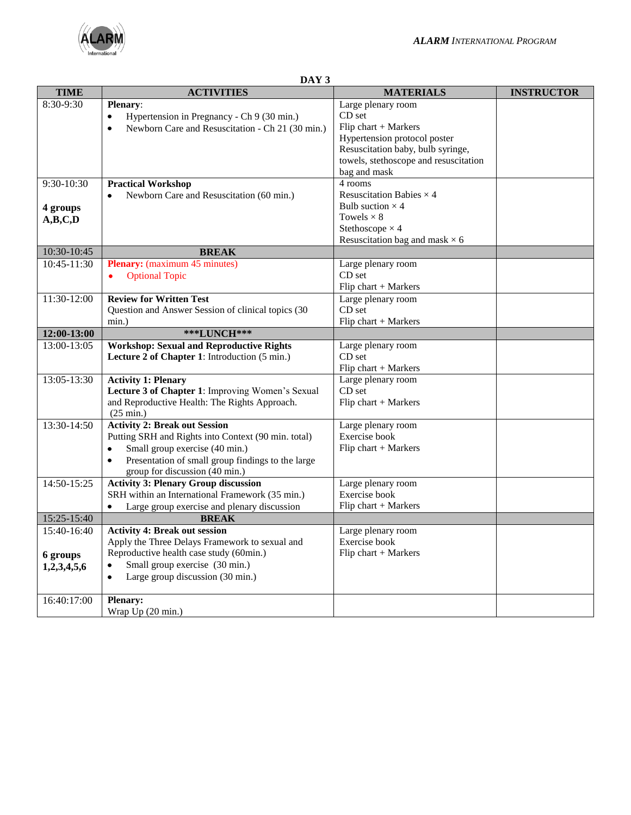

|                          | DAY 5                                                         |                                       |                   |  |
|--------------------------|---------------------------------------------------------------|---------------------------------------|-------------------|--|
| <b>TIME</b>              | <b>ACTIVITIES</b>                                             | <b>MATERIALS</b>                      | <b>INSTRUCTOR</b> |  |
| 8:30-9:30                | <b>Plenary:</b>                                               | Large plenary room                    |                   |  |
|                          | Hypertension in Pregnancy - Ch 9 (30 min.)<br>$\bullet$       | CD set                                |                   |  |
|                          | Newborn Care and Resuscitation - Ch 21 (30 min.)<br>$\bullet$ | Flip chart $+$ Markers                |                   |  |
|                          |                                                               | Hypertension protocol poster          |                   |  |
|                          |                                                               | Resuscitation baby, bulb syringe,     |                   |  |
|                          |                                                               | towels, stethoscope and resuscitation |                   |  |
|                          |                                                               | bag and mask                          |                   |  |
| $\overline{9:30}$ -10:30 | <b>Practical Workshop</b>                                     | 4 rooms                               |                   |  |
|                          | Newborn Care and Resuscitation (60 min.)                      | Resuscitation Babies $\times$ 4       |                   |  |
|                          |                                                               | Bulb suction $\times$ 4               |                   |  |
| 4 groups                 |                                                               | Towels $\times 8$                     |                   |  |
| A,B,C,D                  |                                                               | Stethoscope $\times$ 4                |                   |  |
|                          |                                                               | Resuscitation bag and mask $\times$ 6 |                   |  |
| 10:30-10:45              | <b>BREAK</b>                                                  |                                       |                   |  |
| 10:45-11:30              | <b>Plenary:</b> (maximum 45 minutes)                          |                                       |                   |  |
|                          |                                                               | Large plenary room<br>CD set          |                   |  |
|                          | <b>Optional Topic</b><br>٠                                    |                                       |                   |  |
|                          |                                                               | Flip chart + Markers                  |                   |  |
| 11:30-12:00              | <b>Review for Written Test</b>                                | Large plenary room                    |                   |  |
|                          | Question and Answer Session of clinical topics (30            | CD set                                |                   |  |
|                          | $min.$ )                                                      | Flip chart $+$ Markers                |                   |  |
| 12:00-13:00              | ***LUNCH***                                                   |                                       |                   |  |
| 13:00-13:05              | <b>Workshop: Sexual and Reproductive Rights</b>               | Large plenary room                    |                   |  |
|                          | Lecture 2 of Chapter 1: Introduction (5 min.)                 | CD <sub>set</sub>                     |                   |  |
|                          |                                                               | Flip chart $+$ Markers                |                   |  |
| 13:05-13:30              | <b>Activity 1: Plenary</b>                                    | Large plenary room                    |                   |  |
|                          | Lecture 3 of Chapter 1: Improving Women's Sexual              | CD set                                |                   |  |
|                          | and Reproductive Health: The Rights Approach.                 | Flip chart $+$ Markers                |                   |  |
|                          | $(25 \text{ min.})$                                           |                                       |                   |  |
| $13:30-14:50$            | <b>Activity 2: Break out Session</b>                          | Large plenary room                    |                   |  |
|                          | Putting SRH and Rights into Context (90 min. total)           | Exercise book                         |                   |  |
|                          | Small group exercise (40 min.)<br>٠                           | Flip chart + Markers                  |                   |  |
|                          | Presentation of small group findings to the large             |                                       |                   |  |
|                          | group for discussion (40 min.)                                |                                       |                   |  |
| 14:50-15:25              | <b>Activity 3: Plenary Group discussion</b>                   | Large plenary room                    |                   |  |
|                          | SRH within an International Framework (35 min.)               | Exercise book                         |                   |  |
|                          | Large group exercise and plenary discussion<br>$\bullet$      | Flip chart $+$ Markers                |                   |  |
| 15:25-15:40              | <b>BREAK</b>                                                  |                                       |                   |  |
| 15:40-16:40              | <b>Activity 4: Break out session</b>                          | Large plenary room                    |                   |  |
|                          | Apply the Three Delays Framework to sexual and                | Exercise book                         |                   |  |
| 6 groups                 | Reproductive health case study (60min.)                       | Flip chart $+$ Markers                |                   |  |
| 1,2,3,4,5,6              | Small group exercise (30 min.)<br>٠                           |                                       |                   |  |
|                          | Large group discussion (30 min.)<br>$\bullet$                 |                                       |                   |  |
|                          |                                                               |                                       |                   |  |
| 16:40:17:00              | <b>Plenary:</b>                                               |                                       |                   |  |
|                          | Wrap Up (20 min.)                                             |                                       |                   |  |
|                          |                                                               |                                       |                   |  |

# **DAY 3**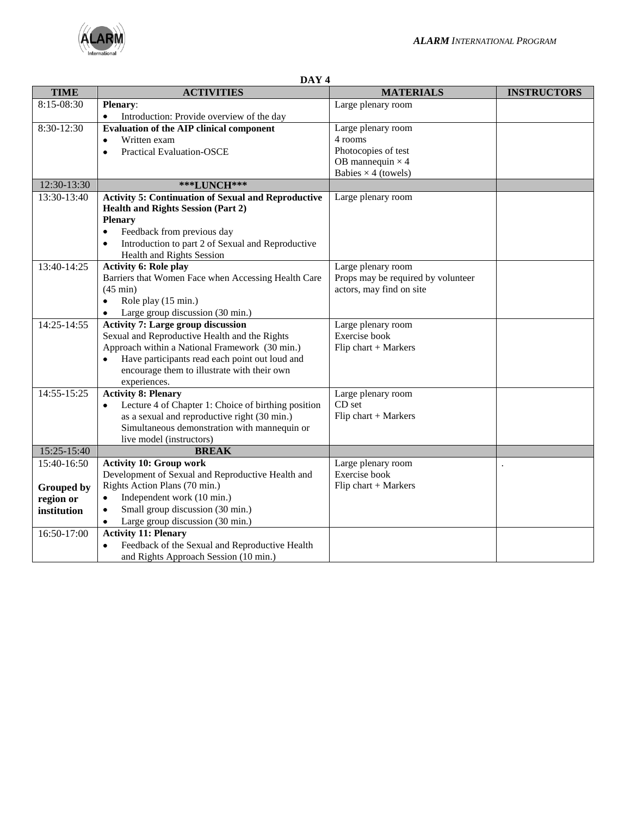

| ') A<br>ヽ<br>п |  |
|----------------|--|
|                |  |

| <b>TIME</b>                    | <b>ACTIVITIES</b>                                              | <b>MATERIALS</b>                   | <b>INSTRUCTORS</b> |
|--------------------------------|----------------------------------------------------------------|------------------------------------|--------------------|
| 8:15-08:30                     | Plenary:                                                       | Large plenary room                 |                    |
|                                | Introduction: Provide overview of the day<br>$\bullet$         |                                    |                    |
| 8:30-12:30                     | <b>Evaluation of the AIP clinical component</b>                | Large plenary room                 |                    |
|                                | Written exam<br>$\bullet$                                      | 4 rooms                            |                    |
|                                | <b>Practical Evaluation-OSCE</b><br>$\bullet$                  | Photocopies of test                |                    |
|                                |                                                                | OB mannequin $\times$ 4            |                    |
|                                |                                                                | Babies $\times$ 4 (towels)         |                    |
| 12:30-13:30                    | ***LUNCH***                                                    |                                    |                    |
| 13:30-13:40                    | <b>Activity 5: Continuation of Sexual and Reproductive</b>     | Large plenary room                 |                    |
|                                | <b>Health and Rights Session (Part 2)</b>                      |                                    |                    |
|                                | <b>Plenary</b>                                                 |                                    |                    |
|                                | Feedback from previous day<br>$\bullet$                        |                                    |                    |
|                                | Introduction to part 2 of Sexual and Reproductive<br>$\bullet$ |                                    |                    |
|                                | <b>Health and Rights Session</b>                               |                                    |                    |
| $13:40 - 14:25$                | <b>Activity 6: Role play</b>                                   | Large plenary room                 |                    |
|                                | Barriers that Women Face when Accessing Health Care            | Props may be required by volunteer |                    |
|                                | $(45 \text{ min})$                                             | actors, may find on site           |                    |
|                                | Role play (15 min.)<br>$\bullet$                               |                                    |                    |
|                                | Large group discussion (30 min.)<br>$\bullet$                  |                                    |                    |
| 14:25-14:55                    | <b>Activity 7: Large group discussion</b>                      | Large plenary room                 |                    |
|                                | Sexual and Reproductive Health and the Rights                  | Exercise book                      |                    |
|                                | Approach within a National Framework (30 min.)                 | Flip chart + Markers               |                    |
|                                | Have participants read each point out loud and<br>$\bullet$    |                                    |                    |
|                                | encourage them to illustrate with their own                    |                                    |                    |
|                                | experiences.                                                   |                                    |                    |
| 14:55-15:25                    | <b>Activity 8: Plenary</b>                                     | Large plenary room                 |                    |
|                                | Lecture 4 of Chapter 1: Choice of birthing position            | CD set                             |                    |
|                                | as a sexual and reproductive right (30 min.)                   | Flip chart + Markers               |                    |
|                                | Simultaneous demonstration with mannequin or                   |                                    |                    |
|                                | live model (instructors)<br><b>BREAK</b>                       |                                    |                    |
| 15:25-15:40<br>$15:40 - 16:50$ | <b>Activity 10: Group work</b>                                 | Large plenary room                 |                    |
|                                | Development of Sexual and Reproductive Health and              | Exercise book                      |                    |
|                                | Rights Action Plans (70 min.)                                  | Flip chart + Markers               |                    |
| <b>Grouped by</b>              | Independent work (10 min.)<br>$\bullet$                        |                                    |                    |
| region or                      | Small group discussion (30 min.)<br>$\bullet$                  |                                    |                    |
| institution                    | Large group discussion (30 min.)                               |                                    |                    |
| 16:50-17:00                    | <b>Activity 11: Plenary</b>                                    |                                    |                    |
|                                | Feedback of the Sexual and Reproductive Health<br>$\bullet$    |                                    |                    |
|                                | and Rights Approach Session (10 min.)                          |                                    |                    |
|                                |                                                                |                                    |                    |